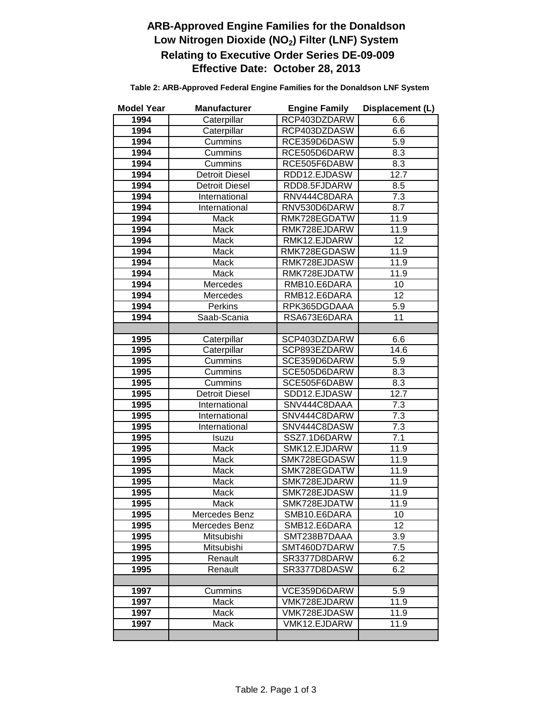## **ARB-Approved Engine Families for the Donaldson**  Low Nitrogen Dioxide (NO<sub>2</sub>) Filter (LNF) System  **Relating to Executive Order Series DE-09-009 Effective Date: October 28, 2013**

| <b>Model Year</b> | <b>Manufacturer</b>   | <b>Engine Family</b> | Displacement (L) |
|-------------------|-----------------------|----------------------|------------------|
| 1994              | Caterpillar           | RCP403DZDARW         | 6.6              |
| 1994              | Caterpillar           | RCP403DZDASW         | 6.6              |
| 1994              | Cummins               | RCE359D6DASW         | 5.9              |
| 1994              | Cummins               | RCE505D6DARW         | 8.3              |
| 1994              | Cummins               | RCE505F6DABW         | 8.3              |
| 1994              | <b>Detroit Diesel</b> | RDD12.EJDASW         | 12.7             |
| 1994              | <b>Detroit Diesel</b> | RDD8.5FJDARW         | 8.5              |
| 1994              | International         | RNV444C8DARA         | 7.3              |
| 1994              | International         | RNV530D6DARW         | 8.7              |
| 1994              | <b>Mack</b>           | RMK728EGDATW         | 11.9             |
| 1994              | Mack                  | RMK728EJDARW         | 11.9             |
| 1994              | Mack                  | RMK12.EJDARW         | $\overline{12}$  |
| 1994              | Mack                  | RMK728EGDASW         | 11.9             |
| 1994              | Mack                  | RMK728EJDASW         | 11.9             |
| 1994              | Mack                  | RMK728EJDATW         | 11.9             |
| 1994              | Mercedes              | RMB10.E6DARA         | 10               |
| 1994              | Mercedes              | RMB12.E6DARA         | $\overline{12}$  |
| 1994              | Perkins               | RPK365DGDAAA         | $\overline{5.9}$ |
| 1994              | Saab-Scania           | RSA673E6DARA         | 11               |
|                   |                       |                      |                  |
| 1995              | Caterpillar           | SCP403DZDARW         | 6.6              |
| 1995              | Caterpillar           | SCP893EZDARW         | 14.6             |
| 1995              | Cummins               | SCE359D6DARW         | $\overline{5.9}$ |
| 1995              | Cummins               | SCE505D6DARW         | 8.3              |
| 1995              | Cummins               | SCE505F6DABW         | 8.3              |
| 1995              | <b>Detroit Diesel</b> | SDD12.EJDASW         | 12.7             |
| 1995              | International         | SNV444C8DAAA         | 7.3              |
| 1995              | <b>International</b>  | SNV444C8DARW         | 7.3              |
| 1995              | International         | SNV444C8DASW         | $\overline{7.3}$ |
| 1995              | Isuzu                 | SSZ7.1D6DARW         | 7.1              |
| 1995              | Mack                  | SMK12.EJDARW         | 11.9             |
| 1995              | Mack                  | SMK728EGDASW         | 11.9             |
| 1995              | Mack                  | SMK728EGDATW         | 11.9             |
| 1995              | Mack                  | SMK728EJDARW         | 11.9             |
| 1995              | Mack                  | SMK728EJDASW         | 11.9             |
| 1995              | Mack                  | SMK728EJDATW         | 11.9             |
| 1995              | Mercedes Benz         | SMB10.E6DARA         | 10               |
| 1995              | Mercedes Benz         | SMB12.E6DARA         | 12               |
| 1995              | Mitsubishi            | SMT238B7DAAA         | 3.9              |
| 1995              | Mitsubishi            | SMT460D7DARW         | 7.5              |
| 1995              | Renault               | SR3377D8DARW         | 6.2              |
| 1995              | Renault               | SR3377D8DASW         | 6.2              |
|                   |                       |                      |                  |
| 1997              | Cummins               | VCE359D6DARW         | 5.9              |
| 1997              | Mack                  | VMK728EJDARW         | 11.9             |
| 1997              | Mack                  | VMK728EJDASW         | 11.9             |
| 1997              | Mack                  | VMK12.EJDARW         | 11.9             |
|                   |                       |                      |                  |

 **Table 2: ARB-Approved Federal Engine Families for the Donaldson LNF System**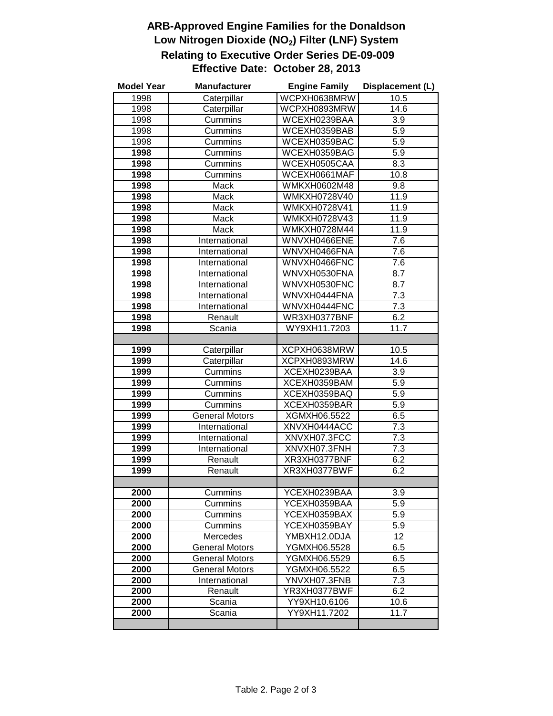## **ARB-Approved Engine Families for the Donaldson**  Low Nitrogen Dioxide (NO<sub>2</sub>) Filter (LNF) System  **Relating to Executive Order Series DE-09-009 Effective Date: October 28, 2013**

| <b>Model Year</b> | <b>Manufacturer</b>               | <b>Engine Family</b>         | Displacement (L) |
|-------------------|-----------------------------------|------------------------------|------------------|
| 1998              | Caterpillar                       | WCPXH0638MRW                 | 10.5             |
| 1998              | Caterpillar                       | WCPXH0893MRW                 | 14.6             |
| 1998              | Cummins                           | WCEXH0239BAA                 | 3.9              |
| 1998              | Cummins                           | WCEXH0359BAB                 | 5.9              |
| 1998              | Cummins                           | WCEXH0359BAC                 | 5.9              |
| 1998              | Cummins                           | WCEXH0359BAG                 | 5.9              |
| 1998              | Cummins                           | WCEXH0505CAA                 | 8.3              |
| 1998              | Cummins                           | WCEXH0661MAF                 | 10.8             |
| 1998              | Mack                              | WMKXH0602M48                 | 9.8              |
| 1998              | Mack                              | WMKXH0728V40                 | 11.9             |
| 1998              | Mack                              | <b>WMKXH0728V41</b>          | 11.9             |
| 1998              | Mack                              | WMKXH0728V43                 | 11.9             |
| 1998              | Mack                              | WMKXH0728M44                 | 11.9             |
| 1998              | International                     | WNVXH0466ENE                 | 7.6              |
| 1998              | International                     | WNVXH0466FNA                 | 7.6              |
| 1998              | International                     | WNVXH0466FNC                 | 7.6              |
| 1998              | International                     | WNVXH0530FNA                 | 8.7              |
| 1998              | International                     | WNVXH0530FNC                 | 8.7              |
| 1998              | International                     | WNVXH0444FNA                 | 7.3              |
| 1998              | International                     | WNVXH0444FNC                 | $\overline{7.3}$ |
| 1998              | Renault                           | WR3XH0377BNF                 | 6.2              |
| 1998              | Scania                            | WY9XH11.7203                 | 11.7             |
|                   |                                   |                              |                  |
| 1999              | Caterpillar                       | XCPXH0638MRW                 | 10.5             |
| 1999              | Caterpillar                       | XCPXH0893MRW                 | 14.6             |
| 1999              | Cummins                           | XCEXH0239BAA                 | $\overline{3.9}$ |
| 1999              | Cummins                           | XCEXH0359BAM                 | $\overline{5.9}$ |
| 1999              | Cummins                           | XCEXH0359BAQ                 | 5.9              |
| 1999              | Cummins                           | XCEXH0359BAR                 | $\overline{5.9}$ |
| 1999              | <b>General Motors</b>             | XGMXH06.5522                 | 6.5              |
| 1999              | International                     | XNVXH0444ACC                 | 7.3              |
| 1999              | International                     | XNVXH07.3FCC                 | $\overline{7.3}$ |
| 1999              | International                     | XNVXH07.3FNH                 | 7.3              |
| 1999              | Renault                           | XR3XH0377BNF                 | 6.2              |
| 1999              | Renault                           | XR3XH0377BWF                 | 6.2              |
|                   |                                   |                              |                  |
| 2000              | Cummins                           | YCEXH0239BAA                 | 3.9              |
| 2000              | Cummins                           | YCEXH0359BAA                 | 5.9<br>5.9       |
| 2000              | Cummins                           | YCEXH0359BAX<br>YCEXH0359BAY |                  |
| 2000<br>2000      | Cummins                           |                              | 5.9<br>12        |
| 2000              | Mercedes<br><b>General Motors</b> | YMBXH12.0DJA                 |                  |
| 2000              | <b>General Motors</b>             | YGMXH06.5528<br>YGMXH06.5529 | 6.5<br>6.5       |
| 2000              | <b>General Motors</b>             | YGMXH06.5522                 | 6.5              |
| 2000              | International                     | YNVXH07.3FNB                 | 7.3              |
| 2000              | Renault                           | YR3XH0377BWF                 | 6.2              |
| 2000              | Scania                            | YY9XH10.6106                 | 10.6             |
| 2000              | Scania                            | YY9XH11.7202                 | 11.7             |
|                   |                                   |                              |                  |
|                   |                                   |                              |                  |